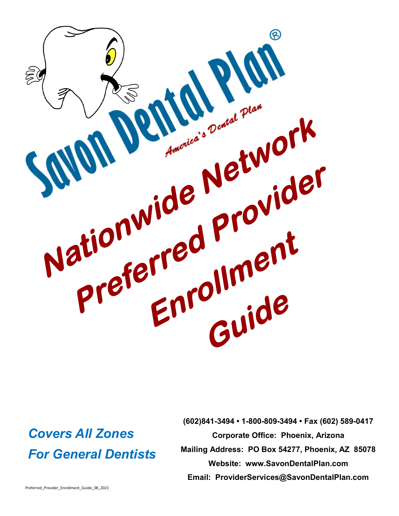

# *Covers All Zones For General Dentists*

**(602)841-3494 • 1-800-809-3494 • Fax (602) 589-0417 Corporate Office: Phoenix, Arizona Mailing Address: PO Box 54277, Phoenix, AZ 85078 Website: www.SavonDentalPlan.com Email: ProviderServices@SavonDentalPlan.com**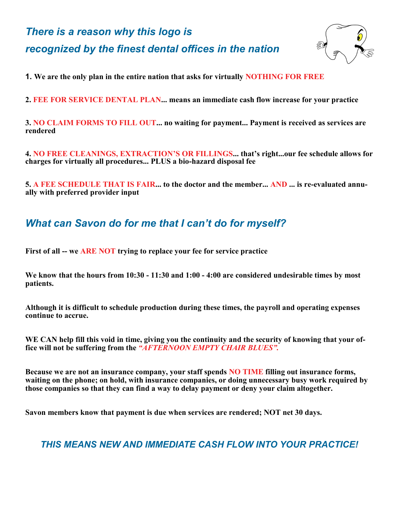# *There is a reason why this logo is recognized by the finest dental offices in the nation*



**1. We are the only plan in the entire nation that asks for virtually NOTHING FOR FREE**

**2. FEE FOR SERVICE DENTAL PLAN... means an immediate cash flow increase for your practice**

**3. NO CLAIM FORMS TO FILL OUT... no waiting for payment... Payment is received as services are rendered**

**4. NO FREE CLEANINGS, EXTRACTION'S OR FILLINGS... that's right...our fee schedule allows for charges for virtually all procedures... PLUS a bio-hazard disposal fee**

**5. A FEE SCHEDULE THAT IS FAIR... to the doctor and the member... AND ... is re-evaluated annually with preferred provider input**

# *What can Savon do for me that I can't do for myself?*

**First of all -- we ARE NOT trying to replace your fee for service practice**

**We know that the hours from 10:30 - 11:30 and 1:00 - 4:00 are considered undesirable times by most patients.**

**Although it is difficult to schedule production during these times, the payroll and operating expenses continue to accrue.**

**WE CAN help fill this void in time, giving you the continuity and the security of knowing that your office will not be suffering from the** *"AFTERNOON EMPTY CHAIR BLUES".*

**Because we are not an insurance company, your staff spends NO TIME filling out insurance forms, waiting on the phone; on hold, with insurance companies, or doing unnecessary busy work required by those companies so that they can find a way to delay payment or deny your claim altogether.** 

**Savon members know that payment is due when services are rendered; NOT net 30 days.**

# *THIS MEANS NEW AND IMMEDIATE CASH FLOW INTO YOUR PRACTICE!*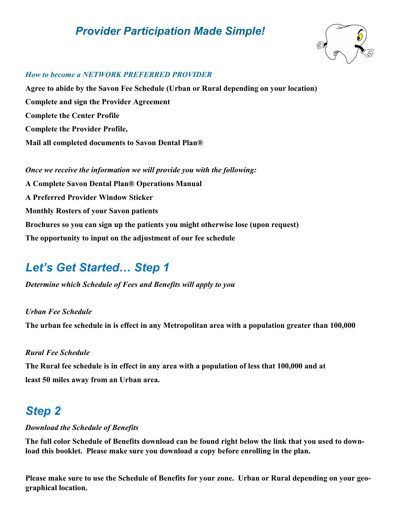# *Provider Participation Made Simple!*



#### *How to become a NETWORK PREFERRED PROVIDER*

**Agree to abide by the Savon Fee Schedule (Urban or Rural depending on your location) Complete and sign the Provider Agreement Complete the Center Profile Complete the Provider Profile, Mail all completed documents to Savon Dental Plan®**

*Once we receive the information we will provide you with the following:* **A Complete Savon Dental Plan® Operations Manual A Preferred Provider Window Sticker Monthly Rosters of your Savon patients Brochures so you can sign up the patients you might otherwise lose (upon request) The opportunity to input on the adjustment of our fee schedule**

# *Let's Get Started… Step 1*

*Determine which Schedule of Fees and Benefits will apply to you*

### *Urban Fee Schedule*

**The urban fee schedule in is effect in any Metropolitan area with a population greater than 100,000**

#### *Rural Fee Schedule*

**The Rural fee schedule is in effect in any area with a population of less that 100,000 and at least 50 miles away from an Urban area.**

# *Step 2*

### *Download the Schedule of Benefits*

**The full color Schedule of Benefits download can be found right below the link that you used to download this booklet. Please make sure you download a copy before enrolling in the plan.**

**Please make sure to use the Schedule of Benefits for your zone. Urban or Rural depending on your geographical location.**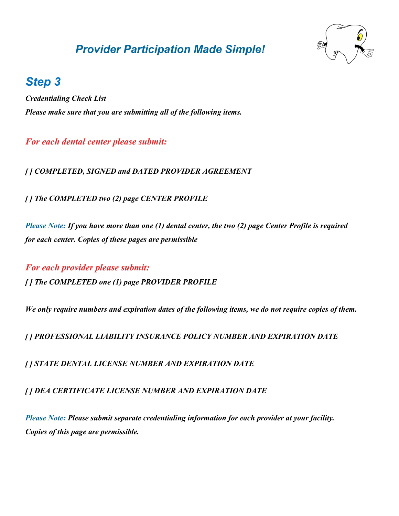# *Provider Participation Made Simple!*



# *Step 3*

*Credentialing Check List Please make sure that you are submitting all of the following items.*

## *For each dental center please submit:*

*[ ] COMPLETED, SIGNED and DATED PROVIDER AGREEMENT*

*[ ] The COMPLETED two (2) page CENTER PROFILE*

*Please Note: If you have more than one (1) dental center, the two (2) page Center Profile is required for each center. Copies of these pages are permissible*

*For each provider please submit: [ ] The COMPLETED one (1) page PROVIDER PROFILE*

*We only require numbers and expiration dates of the following items, we do not require copies of them.*

*[ ] PROFESSIONAL LIABILITY INSURANCE POLICY NUMBER AND EXPIRATION DATE*

*[ ] STATE DENTAL LICENSE NUMBER AND EXPIRATION DATE*

*[ ] DEA CERTIFICATE LICENSE NUMBER AND EXPIRATION DATE*

*Please Note: Please submit separate credentialing information for each provider at your facility. Copies of this page are permissible.*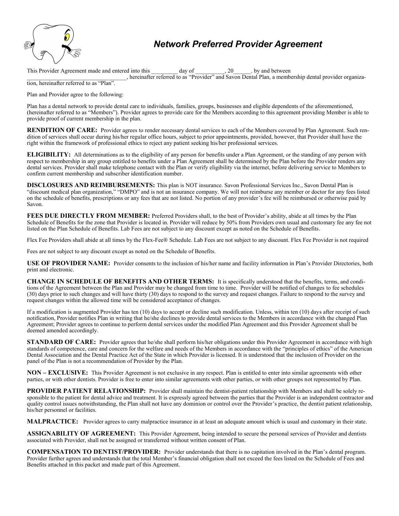

# *Network Preferred Provider Agreement*

This Provider Agreement made and entered into this day of 20 by and between

hereinafter referred to as "Provider" and Savon Dental Plan, a membership dental provider organiza-

tion, hereinafter referred to as "Plan".

Plan and Provider agree to the following:

Plan has a dental network to provide dental care to individuals, families, groups, businesses and eligible dependents of the aforementioned, (hereinafter referred to as "Members"). Provider agrees to provide care for the Members according to this agreement providing Member is able to provide proof of current membership in the plan.

**RENDITION OF CARE:** Provider agrees to render necessary dental services to each of the Members covered by Plan Agreement. Such rendition of services shall occur during his/her regular office hours, subject to prior appointments, provided, however, that Provider shall have the right within the framework of professional ethics to reject any patient seeking his/her professional services.

**ELIGIBILITY:** All determinations as to the eligibility of any person for benefits under a Plan Agreement, or the standing of any person with respect to membership in any group entitled to benefits under a Plan Agreement shall be determined by the Plan before the Provider renders any dental services. Provider shall make telephone contact with the Plan or verify eligibility via the internet, before delivering service to Members to confirm current membership and subscriber identification number.

**DISCLOSURES AND REIMBURSEMENTS:** This plan is NOT insurance. Savon Professional Services Inc., Savon Dental Plan is "discount medical plan organization," "DMPO" and is not an insurance company. We will not reimburse any member or doctor for any fees listed on the schedule of benefits, prescriptions or any fees that are not listed. No portion of any provider's fee will be reimbursed or otherwise paid by Savon.

**FEES DUE DIRECTLY FROM MEMBER:** Preferred Providers shall, to the best of Provider's ability, abide at all times by the Plan Schedule of Benefits for the zone that Provider is located in. Provider will reduce by 50% from Providers own usual and customary fee any fee not listed on the Plan Schedule of Benefits. Lab Fees are not subject to any discount except as noted on the Schedule of Benefits.

Flex Fee Providers shall abide at all times by the Flex-Fee® Schedule. Lab Fees are not subject to any discount. Flex Fee Provider is not required

Fees are not subject to any discount except as noted on the Schedule of Benefits.

**USE OF PROVIDER NAME:** Provider consents to the inclusion of his/her name and facility information in Plan's Provider Directories, both print and electronic.

**CHANGE IN SCHEDULE OF BENEFITS AND OTHER TERMS:** It is specifically understood that the benefits, terms, and conditions of the Agreement between the Plan and Provider may be changed from time to time. Provider will be notified of changes to fee schedules (30) days prior to such changes and will have thirty (30) days to respond to the survey and request changes. Failure to respond to the survey and request changes within the allowed time will be considered acceptance of changes.

If a modification is augmented Provider has ten (10) days to accept or decline such modification. Unless, within ten (10) days after receipt of such notification, Provider notifies Plan in writing that he/she declines to provide dental services to the Members in accordance with the changed Plan Agreement; Provider agrees to continue to perform dental services under the modified Plan Agreement and this Provider Agreement shall be deemed amended accordingly.

**STANDARD OF CARE:** Provider agrees that he/she shall perform his/her obligations under this Provider Agreement in accordance with high standards of competence, care and concern for the welfare and needs of the Members in accordance with the "principles of ethics" of the American Dental Association and the Dental Practice Act of the State in which Provider is licensed. It is understood that the inclusion of Provider on the panel of the Plan is not a recommendation of Provider by the Plan.

**NON – EXCLUSIVE:** This Provider Agreement is not exclusive in any respect. Plan is entitled to enter into similar agreements with other parties, or with other dentists. Provider is free to enter into similar agreements with other parties, or with other groups not represented by Plan.

**PROVIDER PATIENT RELATIONSHIP:** Provider shall maintain the dentist-patient relationship with Members and shall be solely responsible to the patient for dental advice and treatment. It is expressly agreed between the parties that the Provider is an independent contractor and quality control issues notwithstanding, the Plan shall not have any dominion or control over the Provider's practice, the dentist patient relationship, his/her personnel or facilities.

**MALPRACTICE:** Provider agrees to carry malpractice insurance in at least an adequate amount which is usual and customary in their state.

**ASSIGNABILITY OF AGREEMENT:** This Provider Agreement, being intended to secure the personal services of Provider and dentists associated with Provider, shall not be assigned or transferred without written consent of Plan.

**COMPENSATION TO DENTIST/PROVIDER:** Provider understands that there is no capitation involved in the Plan's dental program. Provider further agrees and understands that the total Member's financial obligation shall not exceed the fees listed on the Schedule of Fees and Benefits attached in this packet and made part of this Agreement.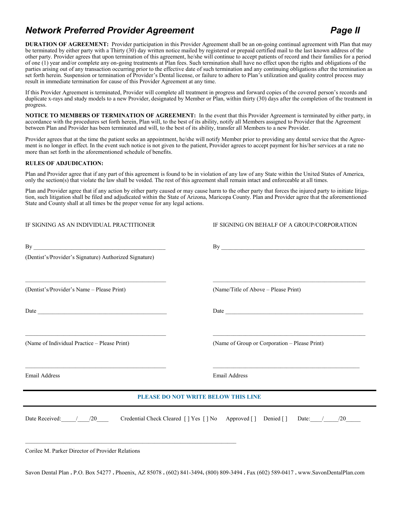# *Network Preferred Provider Agreement Page II*

**DURATION OF AGREEMENT:** Provider participation in this Provider Agreement shall be an on-going continual agreement with Plan that may be terminated by either party with a Thirty (30) day written notice mailed by registered or prepaid certified mail to the last known address of the other party. Provider agrees that upon termination of this agreement, he/she will continue to accept patients of record and their families for a period of one (1) year and/or complete any on-going treatments at Plan fees. Such termination shall have no effect upon the rights and obligations of the parties arising out of any transaction occurring prior to the effective date of such termination and any continuing obligations after the termination as set forth herein. Suspension or termination of Provider's Dental license, or failure to adhere to Plan's utilization and quality control process may result in immediate termination for cause of this Provider Agreement at any time.

If this Provider Agreement is terminated, Provider will complete all treatment in progress and forward copies of the covered person's records and duplicate x-rays and study models to a new Provider, designated by Member or Plan, within thirty (30) days after the completion of the treatment in progress.

**NOTICE TO MEMBERS OF TERMINATION OF AGREEMENT:** In the event that this Provider Agreement is terminated by either party, in accordance with the procedures set forth herein, Plan will, to the best of its ability, notify all Members assigned to Provider that the Agreement between Plan and Provider has been terminated and will, to the best of its ability, transfer all Members to a new Provider.

Provider agrees that at the time the patient seeks an appointment, he/she will notify Member prior to providing any dental service that the Agreement is no longer in effect. In the event such notice is not given to the patient, Provider agrees to accept payment for his/her services at a rate no more than set forth in the aforementioned schedule of benefits.

#### **RULES OF ADJUDICATION:**

Plan and Provider agree that if any part of this agreement is found to be in violation of any law of any State within the United States of America, only the section(s) that violate the law shall be voided. The rest of this agreement shall remain intact and enforceable at all times.

Plan and Provider agree that if any action by either party caused or may cause harm to the other party that forces the injured party to initiate litigation, such litigation shall be filed and adjudicated within the State of Arizona, Maricopa County. Plan and Provider agree that the aforementioned State and County shall at all times be the proper venue for any legal actions.

| IF SIGNING AS AN INDIVIDUAL PRACTITIONER                                                                                                                                 | IF SIGNING ON BEHALF OF A GROUP/CORPORATION                                                                  |  |  |  |  |  |  |  |  |  |
|--------------------------------------------------------------------------------------------------------------------------------------------------------------------------|--------------------------------------------------------------------------------------------------------------|--|--|--|--|--|--|--|--|--|
| (Dentist's/Provider's Signature) Authorized Signature)                                                                                                                   | By                                                                                                           |  |  |  |  |  |  |  |  |  |
| <u> 2000 - Jan James James James James James James James James James James James James James James James James J</u><br>(Dentist's/Provider's Name - Please Print)       | (Name/Title of Above – Please Print)                                                                         |  |  |  |  |  |  |  |  |  |
|                                                                                                                                                                          |                                                                                                              |  |  |  |  |  |  |  |  |  |
| (Name of Individual Practice - Please Print)                                                                                                                             | <u> 1989 - Johann Barbara, markazar markadar (h. 1989).</u><br>(Name of Group or Corporation - Please Print) |  |  |  |  |  |  |  |  |  |
| <b>Email Address</b>                                                                                                                                                     | <b>Email Address</b>                                                                                         |  |  |  |  |  |  |  |  |  |
|                                                                                                                                                                          | <u> 1989 - Johann Stoff, amerikansk politiker (d. 1989)</u><br>PLEASE DO NOT WRITE BELOW THIS LINE           |  |  |  |  |  |  |  |  |  |
|                                                                                                                                                                          | Date Received: / /20 Credential Check Cleared [] Yes [] No Approved [] Denied [] Date: / /20 __              |  |  |  |  |  |  |  |  |  |
| <u> 2000 - 2000 - 2000 - 2000 - 2000 - 2000 - 2000 - 2000 - 2000 - 2000 - 2000 - 2000 - 2000 - 2000 - 2000 - 200</u><br>Corilee M. Parker Director of Provider Relations |                                                                                                              |  |  |  |  |  |  |  |  |  |

Savon Dental Plan **.** P.O. Box 54277 **.** Phoenix, AZ 85078 **.** (602) 841-3494**.** (800) 809-3494 **.** Fax (602) 589-0417 **.** www.SavonDentalPlan.com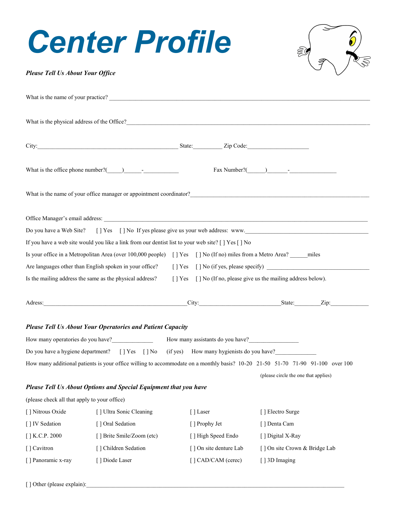# *Center Profile*



#### *Please Tell Us About Your Office*

|                                                         | What is the name of your practice?                                                                                    |  |                        |                                                                                                                                |  |  |  |  |  |  |
|---------------------------------------------------------|-----------------------------------------------------------------------------------------------------------------------|--|------------------------|--------------------------------------------------------------------------------------------------------------------------------|--|--|--|--|--|--|
|                                                         | What is the physical address of the Office?                                                                           |  |                        |                                                                                                                                |  |  |  |  |  |  |
|                                                         |                                                                                                                       |  |                        |                                                                                                                                |  |  |  |  |  |  |
|                                                         | City: State: Zip Code:                                                                                                |  |                        |                                                                                                                                |  |  |  |  |  |  |
|                                                         | What is the office phone number? $($ ) - -                                                                            |  |                        | $\text{Fax Number?}(\_\_\_\_\_\_\_\_$                                                                                          |  |  |  |  |  |  |
|                                                         |                                                                                                                       |  |                        | What is the name of your office manager or appointment coordinator?                                                            |  |  |  |  |  |  |
|                                                         |                                                                                                                       |  |                        |                                                                                                                                |  |  |  |  |  |  |
|                                                         |                                                                                                                       |  |                        | Do you have a Web Site? [] Yes [] No If yes please give us your web address: www.                                              |  |  |  |  |  |  |
|                                                         | If you have a web site would you like a link from our dentist list to your web site? [ ] Yes [ ] No                   |  |                        |                                                                                                                                |  |  |  |  |  |  |
|                                                         | Is your office in a Metropolitan Area (over 100,000 people) [] Yes [] No (If no) miles from a Metro Area? _____ miles |  |                        |                                                                                                                                |  |  |  |  |  |  |
| Are languages other than English spoken in your office? |                                                                                                                       |  |                        |                                                                                                                                |  |  |  |  |  |  |
|                                                         | Is the mailing address the same as the physical address?                                                              |  |                        | [] Yes [] No (If no, please give us the mailing address below).                                                                |  |  |  |  |  |  |
|                                                         |                                                                                                                       |  |                        |                                                                                                                                |  |  |  |  |  |  |
|                                                         | <b>Please Tell Us About Your Operatories and Patient Capacity</b>                                                     |  |                        |                                                                                                                                |  |  |  |  |  |  |
|                                                         |                                                                                                                       |  |                        |                                                                                                                                |  |  |  |  |  |  |
|                                                         | Do you have a hygiene department? [] Yes [] No (if yes) How many hygienists do you have?                              |  |                        |                                                                                                                                |  |  |  |  |  |  |
|                                                         |                                                                                                                       |  |                        | How many additional patients is your office willing to accommodate on a monthly basis? 10-20 21-50 51-70 71-90 91-100 over 100 |  |  |  |  |  |  |
|                                                         |                                                                                                                       |  |                        | (please circle the one that applies)                                                                                           |  |  |  |  |  |  |
|                                                         | Please Tell Us About Options and Special Equipment that you have                                                      |  |                        |                                                                                                                                |  |  |  |  |  |  |
| (please check all that apply to your office)            |                                                                                                                       |  |                        |                                                                                                                                |  |  |  |  |  |  |
| [] Nitrous Oxide                                        | [] Ultra Sonic Cleaning                                                                                               |  | [] Laser               | [] Electro Surge                                                                                                               |  |  |  |  |  |  |
| [] IV Sedation                                          | [] Oral Sedation                                                                                                      |  | [ ] Prophy Jet         | [] Denta Cam                                                                                                                   |  |  |  |  |  |  |
| [] K.C.P. 2000                                          | [] Brite Smile/Zoom (etc)                                                                                             |  | [] High Speed Endo     | [] Digital X-Ray                                                                                                               |  |  |  |  |  |  |
| [] Cavitron                                             | [] Children Sedation                                                                                                  |  | [] On site denture Lab | [] On site Crown & Bridge Lab                                                                                                  |  |  |  |  |  |  |
| [] Panoramic x-ray                                      | [] Diode Laser                                                                                                        |  | [] CAD/CAM (cerec)     | [] 3D Imaging                                                                                                                  |  |  |  |  |  |  |
|                                                         |                                                                                                                       |  |                        |                                                                                                                                |  |  |  |  |  |  |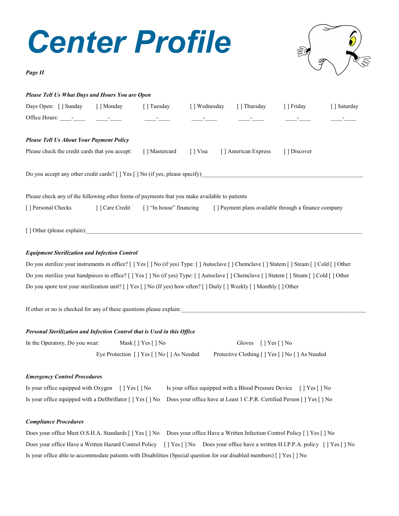# *Center Profile*



*Page II*

| Please Tell Us What Days and Hours You are Open                                                                                                |                                                                                                    |                                          |                 |                                                                                                                              |                                                                                                                                                                                                                                      |              |  |  |  |  |  |  |
|------------------------------------------------------------------------------------------------------------------------------------------------|----------------------------------------------------------------------------------------------------|------------------------------------------|-----------------|------------------------------------------------------------------------------------------------------------------------------|--------------------------------------------------------------------------------------------------------------------------------------------------------------------------------------------------------------------------------------|--------------|--|--|--|--|--|--|
| Days Open: [] Sunday [] Monday                                                                                                                 |                                                                                                    | [] Tuesday                               | [] Wednesday    | [ ] Thursday                                                                                                                 | [ ] Friday                                                                                                                                                                                                                           | [ ] Saturday |  |  |  |  |  |  |
|                                                                                                                                                |                                                                                                    |                                          |                 | <u> Alexandria de Carlos de Carlos de Carlos de Carlos de Carlos de Carlos de Carlos de Carlos de Carlos de Carlos de Ca</u> | <u>and the company of the company of the company of the company of the company of the company of the company of the company of the company of the company of the company of the company of the company of the company of the com</u> |              |  |  |  |  |  |  |
| <b>Please Tell Us About Your Payment Policy</b>                                                                                                |                                                                                                    |                                          |                 |                                                                                                                              |                                                                                                                                                                                                                                      |              |  |  |  |  |  |  |
| Please check the credit cards that you accept:                                                                                                 |                                                                                                    | [] Mastercard                            | $\lceil$   Visa | [] American Express                                                                                                          | [] Discover                                                                                                                                                                                                                          |              |  |  |  |  |  |  |
|                                                                                                                                                |                                                                                                    |                                          |                 |                                                                                                                              |                                                                                                                                                                                                                                      |              |  |  |  |  |  |  |
| Please check any of the following other forms of payments that you make available to patients                                                  |                                                                                                    |                                          |                 |                                                                                                                              |                                                                                                                                                                                                                                      |              |  |  |  |  |  |  |
| [] Personal Checks                                                                                                                             | [ ] Care Credit<br>[] "In house" financing<br>[] Payment plans available through a finance company |                                          |                 |                                                                                                                              |                                                                                                                                                                                                                                      |              |  |  |  |  |  |  |
|                                                                                                                                                |                                                                                                    |                                          |                 |                                                                                                                              |                                                                                                                                                                                                                                      |              |  |  |  |  |  |  |
| <b>Equipment Sterilization and Infection Control</b>                                                                                           |                                                                                                    |                                          |                 |                                                                                                                              |                                                                                                                                                                                                                                      |              |  |  |  |  |  |  |
| Do you sterilize your instruments in office? [ ] Yes [ ] No (if yes) Type: [ ] Autoclave [ ] Chemclave [ ] Statem [ ] Steam [ ] Cold [ ] Other |                                                                                                    |                                          |                 |                                                                                                                              |                                                                                                                                                                                                                                      |              |  |  |  |  |  |  |
| Do you sterilize your handpieces in office? [ ] Yes [ ] No (if yes) Type: [ ] Autoclave [ ] Chemclave [ ] Statem [ ] Steam [ ] Cold [ ] Other  |                                                                                                    |                                          |                 |                                                                                                                              |                                                                                                                                                                                                                                      |              |  |  |  |  |  |  |
| Do you spore test your sterilization unit? [ ] Yes [ ] No (If yes) how often? [ ] Daily [ ] Weekly [ ] Monthly [ ] Other                       |                                                                                                    |                                          |                 |                                                                                                                              |                                                                                                                                                                                                                                      |              |  |  |  |  |  |  |
| If other or no is checked for any of these questions please explain:                                                                           |                                                                                                    |                                          |                 |                                                                                                                              |                                                                                                                                                                                                                                      |              |  |  |  |  |  |  |
| Personal Sterilization and Infection Control that is Used in this Office                                                                       |                                                                                                    |                                          |                 |                                                                                                                              |                                                                                                                                                                                                                                      |              |  |  |  |  |  |  |
| In the Operatory, Do you wear:                                                                                                                 |                                                                                                    | Mask [ ] Yes [ ] No                      |                 | Gloves [] Yes [] No                                                                                                          |                                                                                                                                                                                                                                      |              |  |  |  |  |  |  |
|                                                                                                                                                |                                                                                                    | Eye Protection [] Yes [] No [] As Needed |                 | Protective Clothing [ ] Yes [ ] No [ ] As Needed                                                                             |                                                                                                                                                                                                                                      |              |  |  |  |  |  |  |
| <b>Emergency Control Procedures</b>                                                                                                            |                                                                                                    |                                          |                 |                                                                                                                              |                                                                                                                                                                                                                                      |              |  |  |  |  |  |  |

### Is your office equipped with Oxygen [ ] Yes [ ] No Is your office equipped with a Blood Pressure Device [ ] Yes [ ] No Is your office equipped with a Defibrillator [ ] Yes [ ] No Does your office have at Least 1 C.P.R. Certified Person [ ] Yes [ ] No

#### *Compliance Procedures*

|                                                                                                                        | Does your office Meet O.S.H.A. Standards [   Yes [   No Does your office Have a Written Infection Control Policy [   Yes [   No   |  |
|------------------------------------------------------------------------------------------------------------------------|-----------------------------------------------------------------------------------------------------------------------------------|--|
|                                                                                                                        | Does your office Have a Written Hazard Control Policy [] Yes [] No Does your office have a written H.I.P.P.A. policy [] Yes [] No |  |
| Is your office able to accommodate patients with Disabilities (Special question for our disabled members) [] Yes [] No |                                                                                                                                   |  |